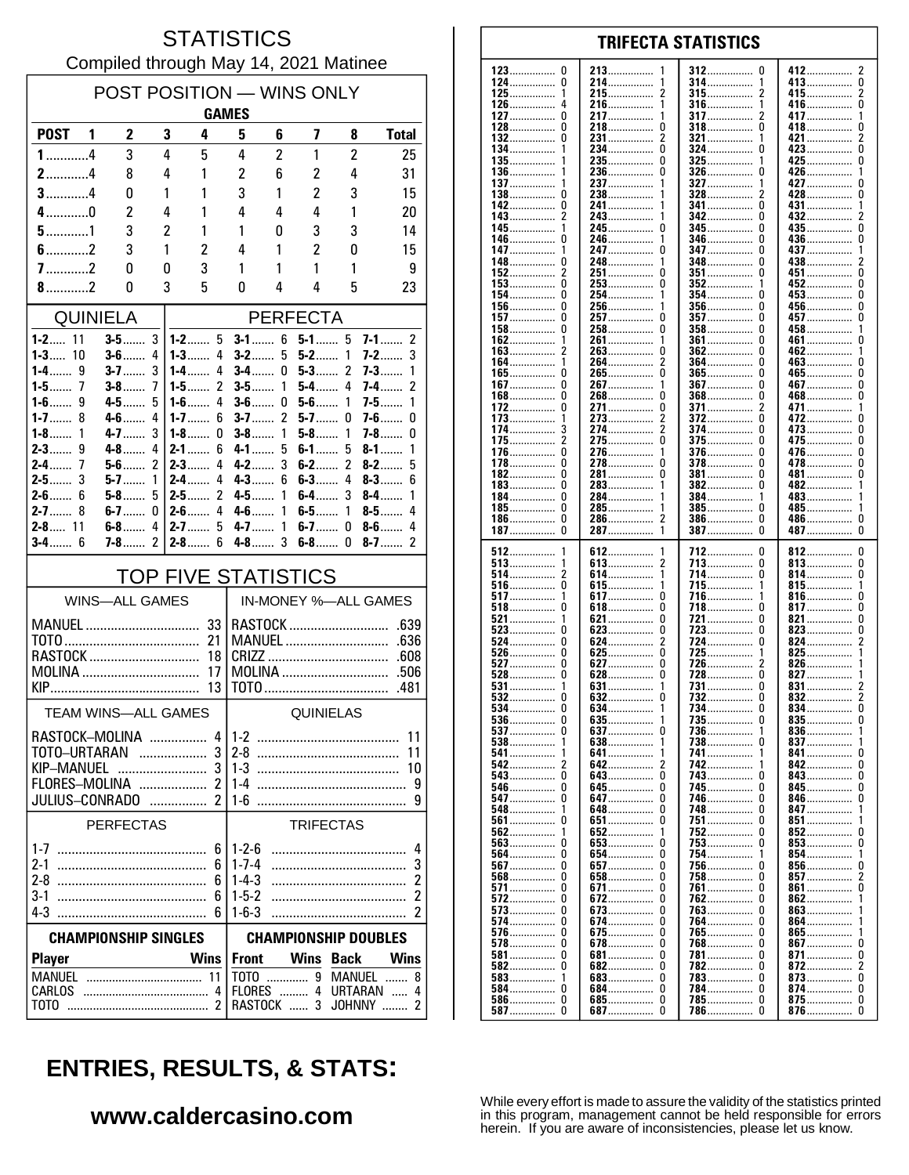#### **STATISTICS** Compiled through May 14, 2021 Matinee

| POST POSITION — WINS ONLY      |  |                       |                |                                                     |                            |                      |                     |                   |                            |  |  |
|--------------------------------|--|-----------------------|----------------|-----------------------------------------------------|----------------------------|----------------------|---------------------|-------------------|----------------------------|--|--|
|                                |  |                       |                |                                                     | <b>GAMES</b>               |                      |                     |                   |                            |  |  |
| POST <sub>1</sub>              |  | $\mathbf{2}$          | 3              | 4                                                   | 5                          | 6                    | 7                   | 8                 | <b>Total</b>               |  |  |
| $1$ 4                          |  | 3                     | 4              | 5                                                   | 4                          | 2                    | 1                   | $\overline{2}$    | 25                         |  |  |
| $2$ 4<br>$3$ 4                 |  | 8                     | 4              | 1                                                   | $\overline{c}$             | 6                    | 2                   | 4                 | 31                         |  |  |
| $4$ 0                          |  | 0<br>2                | 1<br>4         | 1<br>1                                              | 3<br>4                     | 1<br>4               | $\overline{c}$<br>4 | 3<br>1            | 15<br>20                   |  |  |
| $5$ 1                          |  | 3                     | $\overline{c}$ | 1                                                   | 1                          | 0                    | 3                   | 3                 | 14                         |  |  |
| $6$ 2                          |  | 3                     | 1              | 2                                                   | 4                          | 1                    | $\overline{2}$      | 0                 | 15                         |  |  |
| $7$ 2                          |  | 0                     | 0              | 3                                                   | 1                          | 1                    | 1                   | 1                 | 9                          |  |  |
| 8.11                           |  | 0                     | 3              | 5                                                   | 0                          | 4                    | 4                   | 5                 | 23                         |  |  |
| <b>QUINIELA</b>                |  |                       |                | <b>PERFECTA</b>                                     |                            |                      |                     |                   |                            |  |  |
| $1 - 2$ 11                     |  | $3-5$                 | 3              | $1 - 2$ 5<br>6<br>$5-1$<br>5<br>$7-1$<br>2<br>$3-1$ |                            |                      |                     |                   |                            |  |  |
| $1 - 3$<br>10                  |  | $3 - 6$               | 4              | $1 - 3$<br>4                                        | $3-2$                      | 5                    | $5-2$               | 1                 | 3<br>7-2                   |  |  |
| $1-4$<br>9                     |  | $3 - 7$               | 3              | 1-4……<br>4                                          | <b>3-4</b> ……              | 0                    | $5-3$               | 2                 | 7-3……<br>1                 |  |  |
| $1-5$<br>7<br>$1-6$<br>9       |  | $3-8$<br>$4-5$        | 7<br>5         | 2<br>1-5 $\dots$<br>$1 - 6$<br>4                    | $3-5$<br>$3-6$             | 1<br>0               | $5-4$<br>$5-6$      | 4<br>1            | 2<br>7-4……<br>$7-5$<br>1   |  |  |
| $1 - 7$<br>8                   |  | $4 - 6$               | 4              | $1 - 7$<br>6                                        | $3-7$                      | 2                    | $5-7$               | 0                 | $7-6$<br>0                 |  |  |
| $1 - 8$<br>1                   |  | $4 - 7$               | 3              | $1-8$<br>0                                          | $3-8$                      | 1                    | $5-8$               | 1                 | 7-8<br>0                   |  |  |
| 9<br>$2-3$                     |  | $4-8$                 | 4              | $2-1$<br>6                                          | $4 - 1$                    | 5                    | $6-1$               | 5                 | $8-1$<br>1                 |  |  |
| $2 - 4$<br>7<br>$2-5$<br>3     |  | $5-6$<br>$5 - 7$      | 2<br>1         | $2-3$<br>4<br>$2 - 4$<br>4                          | $4 - 2$<br>$4 - 3$         | 3<br>6               | $6-2$<br>$6-3$      | 2<br>4            | $8 - 2$<br>5<br>$8-3$<br>6 |  |  |
| $2-6$<br>6                     |  | $5-8$                 | 5              | 2<br>$2 - 5$                                        | $4 - 5$                    | 1                    | $6-4$               | 3                 | $8-4$<br>1                 |  |  |
| $2 - 7$<br>8                   |  | $6-7$                 | 0              | 4<br>$2-6$                                          | $4 - 6$                    | 1                    | $6-5$               | 1                 | 4<br>$8-5$                 |  |  |
| $2 - 8$ 11                     |  | $6-8$                 | 4              | $2 - 7$<br>5                                        | $4 - 7$                    | 1                    | $6-7$               | 0                 | $8-6$<br>4                 |  |  |
| $3 - 4$ 6                      |  | <b>7-8</b>            | 2              | $2 - 8$<br>6                                        | $4-8$                      | 3                    | $6-8$               | 0                 | $8-7$<br>2                 |  |  |
| <b>TOP FIVE STATISTICS</b>     |  |                       |                |                                                     |                            | IN-MONEY %-ALL GAMES |                     |                   |                            |  |  |
|                                |  | <b>WINS-ALL GAMES</b> |                |                                                     |                            |                      |                     |                   |                            |  |  |
| MANUEL                         |  |                       |                | 33                                                  |                            |                      |                     | RASTOCK           | .639                       |  |  |
|                                |  |                       |                | 21<br>18                                            |                            |                      |                     | <b>MANUEL</b>     | .636<br>.608               |  |  |
| RASTOCK<br>MOLINA<br>17        |  |                       |                |                                                     |                            |                      |                     |                   |                            |  |  |
|                                |  |                       |                | 13                                                  |                            |                      |                     |                   | .481                       |  |  |
|                                |  | TEAM WINS-ALL GAMES   |                |                                                     |                            |                      | QUINIELAS           |                   |                            |  |  |
| RASTOCK-MOLINA                 |  |                       |                |                                                     | $4 1-2$                    |                      |                     |                   | 11                         |  |  |
| TOTO-URTARAN                   |  |                       |                | 3                                                   |                            |                      |                     |                   | 11                         |  |  |
| KIP–MANUEL<br>FLORES-MOLINA  2 |  |                       |                | 3                                                   | $1-4$                      |                      |                     |                   | 10<br>9                    |  |  |
| JULIUS-CONRADO  2              |  |                       |                |                                                     |                            |                      |                     |                   | 9                          |  |  |
|                                |  | <b>PERFECTAS</b>      |                |                                                     |                            |                      | <b>TRIFECTAS</b>    |                   |                            |  |  |
|                                |  |                       |                | 6                                                   | $1 - 2 - 6$                |                      |                     |                   | 4                          |  |  |
|                                |  |                       |                | 6                                                   | $1 - 7 - 4$                |                      |                     |                   | 3                          |  |  |
| $2-8$                          |  |                       |                | 6                                                   | $1 - 4 - 3$                |                      |                     |                   | $\overline{c}$             |  |  |
| $3-1$<br>$4-3$                 |  |                       |                | 6<br>6                                              | $1 - 5 - 2$<br>$1 - 6 - 3$ |                      |                     |                   | 2<br>2                     |  |  |
| <b>CHAMPIONSHIP SINGLES</b>    |  |                       |                | <b>CHAMPIONSHIP DOUBLES</b>                         |                            |                      |                     |                   |                            |  |  |
|                                |  |                       |                | <b>Wins</b>                                         | <b>Front</b>               |                      | Wins                | <b>Back</b>       | Wins                       |  |  |
| <b>Player</b>                  |  |                       |                |                                                     |                            |                      |                     | TOTO  9 MANUEL    | 8                          |  |  |
| CARLOS                         |  |                       |                | -4                                                  |                            |                      |                     | FLORES  4 URTARAN | 4                          |  |  |
| тото                           |  |                       |                |                                                     |                            | RASTOCK  3           |                     |                   | JOHNNY<br>2                |  |  |

#### 123  $\mathbf 0$ 213 412  $\overline{2}$ 312 <sup>0</sup> 124  $\pmb{0}$ 214................ 314 413...............  $\overline{0}$ . . . . . . . . . . . . . . 1 . . . . . . . .  $215$ ................  $\dot{2}$  $315$ ................  $^2_{\rm 0}$ 125 1 415................ . . . . . . . . . . . . . . . 126  $\overline{a}$ 216 1 316 416  $\mathbf{1}$ .............. . . . . . . . . . . . . . . . ............... 127  $\Omega$ 217 317 417  $\overline{1}$ 2 . . . . . . . . . . . . . . . . . . . . . . . . . . . . . . . . . . . . . . . . . . 128  $\Omega$ 218  $\Omega$ 318  $\Omega$ 418  $\Omega$  $\overline{2}$ 132  $\Omega$ 231................  $\overline{\phantom{a}}$ 321.................  $421$ 1 134.  $\Omega$  $\Omega$ ō  $234$ ................  $324$  ................ 423...... . . . . . . . . . . 135. 235.................  $\Omega$ 325  $425$  $\mathbf 0$ 136. 236  $\Omega$ 326 426................  $\Omega$ . . . . . . . . . . . . . . . . . . . . . . . . . . . . . . ................ 137 237 327 427  $\Omega$ . . . . . . . . . . . . . . . . . . . . . . . . . . . . . 138  $\Omega$ 238 328 428  $\Omega$ ........... . . . . . . . . . . . . . . . . . . . . . . . . 241................ n 142  $\Omega$  $341$  ................ 431  $\mathbf{1}$  $143.$  $\bar{2}$ 243................ 342  $\Omega$ . . . . . . . . . . . . . . .  $345.$  $\overline{0}$ 245  $\mathbf 0$  $\mathbf{0}$  $435...$ 145. -1 346 0 436................ 146 246 . . . . . . . . . . . . . . . . . . . . . . . . . . . . . . . . . . . . . . . . . . . . 147 247  $\Omega$ 347 n 437 . . . . . . . . . . . . . . . . . . . . . . . . . . . . . . . . . . . . . . . . . . .  $\begin{minipage}{.4\linewidth} \textbf{348} \end{minipage}$ 148 248 438................ 0 <sup>0</sup>  $\overline{2}$ . . . . . . . . . . . . . . . . . . . . . . . . . . . . . . . 152  $\overline{2}$ 251 0 351 <sup>0</sup> 451 0 . . . . . . . . . . . . . . . . . . . . . . . . . . . . . . . . . . . . . . . . . . 153  $\Omega$ 253  $\Omega$ 352 452  $\Omega$  $\mathbf{1}$ ŏ 254................ 354................ 154  $\Omega$ 453................  $\mathbf{1}$ n  $156$ ................  $\mathbf 0$  $\mathbf 0$ 256.  $356$  $\Omega$  $456$  $157$ ................  $\Omega$ 257.................  $\mathbf{0}$  $357$  .................  $457$  $\mathbf{0}$ 458................  $\pmb{0}$ 158 0 258 358  $\Omega$ . . . . . . . . . . . . . . . . . . . . . . . . . . . . . . . . . . . . . . . . . . . . . . . . 162 261 361  $\Omega$ 461  $\mathbf{0}$ 1 . . . . . . . . . . . . . . . ............... . . . . . . . . . . . . . . . . . . . . . . . . . . . . . . . . 163  $\overline{2}$ 263  $\Omega$ 362  $\Omega$ 462  $\overline{1}$ . . . . . . . . . . . . . . . . . . . . . . . . . . . . . . . . . . . . . . . . .  $\dot{0}$ 264................  $364$  ................ 164  $\Omega$  $463...$  $\mathbf{1}$ 2 265................. 165................ ò ō ñ  $465$ ñ  $\mathbf 0$  $\overline{0}$  $\mathbf 0$  $267$ ................  $367$  ................  $467$ ............... 167. . . . . . . . . . . . . . . Ō  $\ddot{\mathbf{0}}$ Ō Ō 168 268 368 468 . . . . . . . . . . . . . . . . . . . . . . . . . . . . . . . . . . . . . . . . . . . . . . . . . . . . . . . . . . . . . 172.  $\pmb{0}$ 271................  $\pmb{0}$ 371................  $\overline{2}$ 471.........  $\mathbf{1}$ . . . . . . . . . . . . . . 273 372 O  $\mathbf{0}$ 173 472 . . . . . . . . . . . . . . . .............. . . . . . . . . . . . . . . . . . . . . . . . . . . . . . . . 174 3 274  $\overline{2}$ 374  $\Omega$ 473  $\pmb{0}$ . . . . . . . . . . . . . . . . . . . . . . . . . . . . . . . . . . . . . . . . . . . . . . . . . . . . . . . . . . . . .  $\Omega$ 175 2 275 375  $\Omega$ 475.  $\Omega$ . . . . . . . . . . . . . . . . . . . . . . . . . . . . . . . . . . . . . . . . . . . . . . . . . . . . . . . . . . . 476.......  $\Omega$ 376.  $\Omega$ 176. 276.  $\mathbf{1}$  $\Omega$  $\dot{0}$ ŏ  $\Omega$ 278................  $\Omega$ 478  $178$ ................  $378$ 182................  $\Omega$ 281.................  $\Omega$ 381  $\theta$  $\Omega$  $481$ ................ . . . . . . . . . . . . . . . .  $183$ ................. 0 283 382 0  $482$ ................ . . . . . . . . . . . . . . . . . . . . . . . . . . . . . . . 184  $\Omega$ 284 384 483 . . . . . . . . . . . . . . . . ............... ................ . . . . . . . . . . . . . . . . 185  $\Omega$ 285 385  $\Omega$ 485 . . . . . . . . . . . . . . . . . . . . . . . . . . . . . . . . . . . . . . . . . . . . . . . . . . . . . . . . . . . . 186.  $\Omega$ 286.  $\overline{\phantom{a}}$  $386$ ................  $\Omega$ 486................  $\Omega$ . . . . . . . . . . . . . . . . . . . . . . . . . . . . . .  $\tilde{0}$  $\Omega$  $\Omega$ 187................ 287 — 287  $\overline{1}$ 387 387 512 612 712  $\mathbf{0}$ 812. 0 . . . . . . . . . . . . . . . . . . . . . . . . . . . . . . . . . . . . . . 613.  $513$ ................  $\Omega$  $\pmb{0}$ 713 813................ . . . . . . . . . . . . . . . . 514 2 614  $\mathbf{1}$ 714 0 814 0 . . . . . . . . . . . . . . . . . . . . . . . . . . . . . . . . . . . . . . . . . . . . . . . . . . . . . . . . . . . . . 516 0 615 715  $\overline{1}$ 815  $\mathbf{1}$ . . . . . . . . . . . . . . . . . . . . . . . . . . . -1 . . . . . . . . . . . . . .  $\dot{0}$  $\ddot{\mathbf{0}}$ 517................ 617................. -1 716. -1  $816...$  $518$ ................ 817.................  $\mathbf{0}$  $\Omega$  $618$ ................ 0  $718$ ................  $\Omega$ 521  $\pmb{0}$ 721  $\Omega$ 821  $\pmb{0}$ 621 . . . . . . . . . . . . . . . . . . . . . . . . . . . . . . ................ 523  $\Omega$ 623  $\pmb{0}$ 723  $\Omega$ 823  $\pmb{0}$ . . . . . . . . . . . . . . . .............. . . . . . . . . . . . . . . . . . . . . . . . . . . . . . . . . 524  $\Omega$ 624 2 724  $\Omega$ 824  $\overline{\phantom{a}}$ . . . . . . . . . . . . . . . . . . . . . . . . . . . . . . . . . . . . . . . . . . . . . 725<br>726................  $\Omega$ 526  $\Omega$ 625 825 1 . . . . . . . . . . . . . . . . . . . . . . . . . . . . . . 627................ 527  $\Omega$  $\Omega$ 826. 528 Ō  $628$ Ō  $728$ ................. ō  $827...$ 531................ 631................ 731 831 . . . . . . . . . . . . . . . . . . . . . . . . . . . . . . . . 732............... 532................ 632................  $\ddot{\mathbf{0}}$  $\overline{2}$  $\mathbf{0}$  $\Omega$  $832$ ................  $\overline{0}$  $534$ ................  $\mathbf{0}$ 634................ 734................ 0 834........  $\mathbf{1}$ 635  $\pmb{0}$  $536$ ................ 0 735 0 835 .............. . . . . . . . . . . . . . . . ...............  $\overline{0}$ 537  $\Omega$ 637 736  $\mathbf{1}$ 836  $\overline{1}$ 738 837. 538 -1 638 -1  $\Omega$ . . . . . . . . . . . . . . . . . . . . . . . . . . 641............... 741................ 541. 1  $841...$ 0 542............... 642............... 742................ 842...............  $\overline{2}$  $\Omega$  $\overline{\phantom{a}}$ 543.  $\pmb{0}$  $\pmb{0}$ 743  $\Omega$  $\pmb{0}$ 643.  $843$ . . . . . . . . . . . . . . . ............... 546................ 645................  $\mathbf 0$ 745.  $845$ ................  $\mathbf 0$ 0  $\Omega$ . . . . . . . . . . . . . . . 547  $\pmb{0}$ 647  $\Omega$ 746  $\Omega$ 846  $\mathbf{0}$ . . . . . . . . . . . . . . . ............... . . . . . . . . . . . . . . . . 548 648  $\Omega$ 748  $\Omega$ 847 1 . . . . . . . . . . . . . . . . . . . . . . . . . . . .  $651$ ................ 561  $\Omega$  $\Omega$ 751  $\Omega$  $851...$  $\dot{0}$  $\Omega$ 852 562  $\mathbf{1}$ 652................ 1  $752$ 563................ ó 653................. . 753................ Ō 853................ Ō 564 Ō 654 Ō 754 854 . . . . . . . . . . . . . . . . . . . . . . . . . . . . . . 856................  $567$ ................  $\Omega$ 657................  $\Omega$ 756  $\Omega$  $\Omega$ . . . . . . . . . . . . . . . . 857................ 568  $\mathbf{0}$ 658  $\Omega$ 758  $\Omega$  $\mathfrak{p}$ . . . . . . . . . . . . . . . . . . . . . . . . . . . .  $861$ .......  $571$ ................  $\mathbf{0}$ 671.  $\mathbf 0$ 761 <sup>0</sup>  $\Omega$ .............. 572 0 672 0 762  $\Omega$ 862 . . . . . . . . . . . . . . . . . . . . . . . . . . . . . . . . . . . . . . . . . . 573  $\Omega$ 673.  $\Omega$ 763.  $\Omega$ 863  $574$ ............... 0 674................  $\mathbf 0$ 764.................  $\Omega$  $864$ ......  $675$ ................  $\pmb{0}$ 765.  $\Omega$ 865................. . . . . . . . . . . . . . . . 578  $\Omega$ 678  $\Omega$ 768  $\theta$  $867$  $\mathbf 0$ . . . . . . . . . . . . . . . . . . . . . . . . . . . . . . . . . . . . . . . . . . . . .  $581$ ................  $\pmb{0}$ 681.  $\pmb{0}$ 781  $\Omega$ 871  $\pmb{0}$ . . . . . . . . . . . . . . . . . . . . . . . . . . . . . . . . ................ 582  $\Omega$ 682  $\Omega$ 782  $\Omega$ 872  $\mathcal{P}$ . . . . . . . . . . . . . . . . . . . . . . . . . . . . . . . . . . . . . . . . . . . . . . . . . . . . . . . . . . 583  $\mathbf{1}$ **F.83**  $\Omega$ 783  $\Omega$ 873  $\Omega$ . . . . . . . . . . . . . . . . . . . . . . . . . . . . . . . . . . . . . . . . . . . . . . . . . . . 684............... Ŏ  $584$ ................  $\Omega$  $\Omega$ 784................  $\Omega$ 874................

**TRIFECTA STATISTICS** 

# **ENTRIES, RESULTS, & STATS:**

### www.caldercasino.com

While every effort is made to assure the validity of the statistics printed in this program, management cannot be held responsible for errors herein. If you are aware of inconsistencies, please let us know.

785................

786

 $\Omega$ 

 $\Omega$ 

875................

876................

 $\mathbf{0}$ 

 $\Omega$ 

685................

687.................

0

 $\Omega$ 

586...............

. . . . . . . . . . . . . .

587.

 $\mathbf 0$ 

 $\Omega$